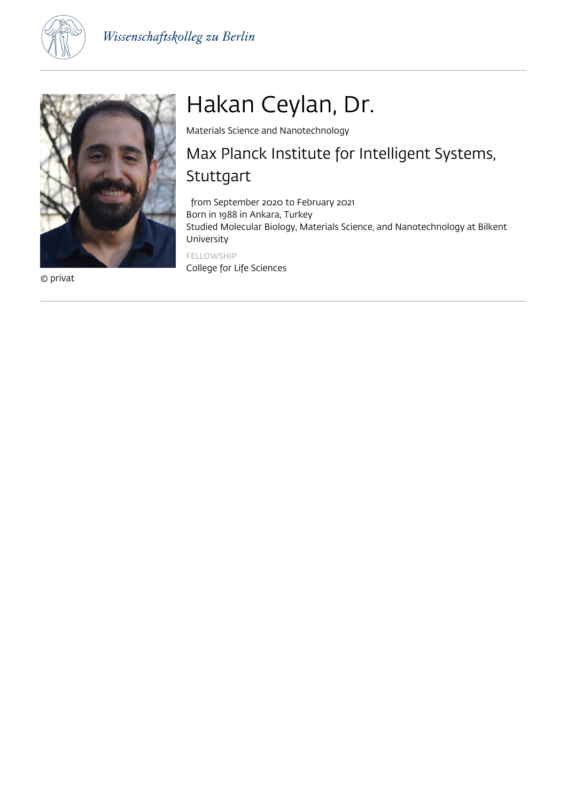



© privat

# Hakan Ceylan, Dr.

Materials Science and Nanotechnology

# Max Planck Institute for Intelligent Systems, Stuttgart

 from September 2020 to February 2021 Born in 1988 in Ankara, Turkey Studied Molecular Biology, Materials Science, and Nanotechnology at Bilkent University FELLOWSHIP

College for Life Sciences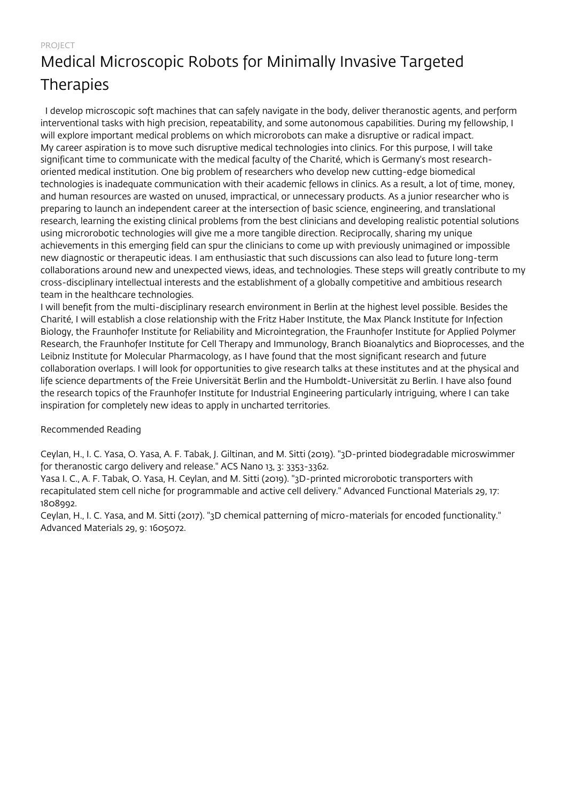PROJECT

# Medical Microscopic Robots for Minimally Invasive Targeted **Therapies**

 I develop microscopic soft machines that can safely navigate in the body, deliver theranostic agents, and perform interventional tasks with high precision, repeatability, and some autonomous capabilities. During my fellowship, I will explore important medical problems on which microrobots can make a disruptive or radical impact. My career aspiration is to move such disruptive medical technologies into clinics. For this purpose, I will take significant time to communicate with the medical faculty of the Charité, which is Germany's most researchoriented medical institution. One big problem of researchers who develop new cutting-edge biomedical technologies is inadequate communication with their academic fellows in clinics. As a result, a lot of time, money, and human resources are wasted on unused, impractical, or unnecessary products. As a junior researcher who is preparing to launch an independent career at the intersection of basic science, engineering, and translational research, learning the existing clinical problems from the best clinicians and developing realistic potential solutions using microrobotic technologies will give me a more tangible direction. Reciprocally, sharing my unique achievements in this emerging field can spur the clinicians to come up with previously unimagined or impossible new diagnostic or therapeutic ideas. I am enthusiastic that such discussions can also lead to future long-term collaborations around new and unexpected views, ideas, and technologies. These steps will greatly contribute to my cross-disciplinary intellectual interests and the establishment of a globally competitive and ambitious research team in the healthcare technologies.

I will benefit from the multi-disciplinary research environment in Berlin at the highest level possible. Besides the Charité, I will establish a close relationship with the Fritz Haber Institute, the Max Planck Institute for Infection Biology, the Fraunhofer Institute for Reliability and Microintegration, the Fraunhofer Institute for Applied Polymer Research, the Fraunhofer Institute for Cell Therapy and Immunology, Branch Bioanalytics and Bioprocesses, and the Leibniz Institute for Molecular Pharmacology, as I have found that the most significant research and future collaboration overlaps. I will look for opportunities to give research talks at these institutes and at the physical and life science departments of the Freie Universität Berlin and the Humboldt-Universität zu Berlin. I have also found the research topics of the Fraunhofer Institute for Industrial Engineering particularly intriguing, where I can take inspiration for completely new ideas to apply in uncharted territories.

### Recommended Reading

Ceylan, H., I. C. Yasa, O. Yasa, A. F. Tabak, J. Giltinan, and M. Sitti (2019). "3D-printed biodegradable microswimmer for theranostic cargo delivery and release." ACS Nano 13, 3: 3353-3362.

Yasa I. C., A. F. Tabak, O. Yasa, H. Ceylan, and M. Sitti (2019). "3D-printed microrobotic transporters with recapitulated stem cell niche for programmable and active cell delivery." Advanced Functional Materials 29, 17: 1808992.

Ceylan, H., I. C. Yasa, and M. Sitti (2017). "3D chemical patterning of micro-materials for encoded functionality." Advanced Materials 29, 9: 1605072.